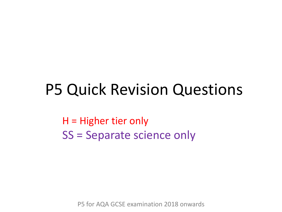## P5 Quick Revision Questions

H = Higher tier only SS = Separate science only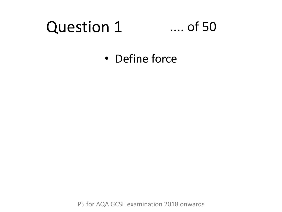#### Question 1 .... of 50

• Define force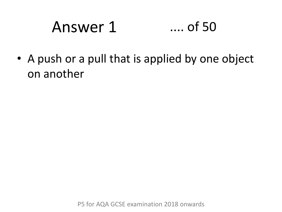# Answer 1 .... of 50

• A push or a pull that is applied by one object on another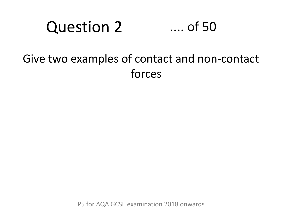#### Question 2 .... of 50

#### Give two examples of contact and non-contact forces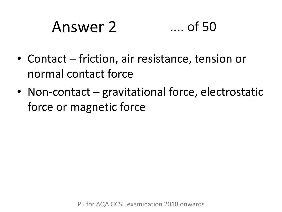# Answer 2 .... of 50

- Contact friction, air resistance, tension or normal contact force
- Non-contact gravitational force, electrostatic force or magnetic force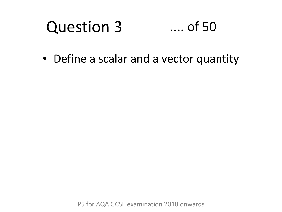#### Question 3 .... of 50

• Define a scalar and a vector quantity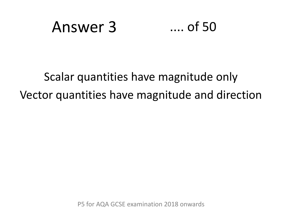## Answer 3 .... of 50

## Scalar quantities have magnitude only Vector quantities have magnitude and direction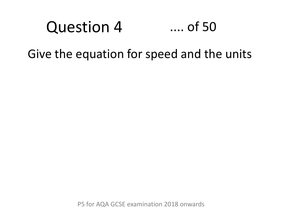## Question 4 .... of 50

Give the equation for speed and the units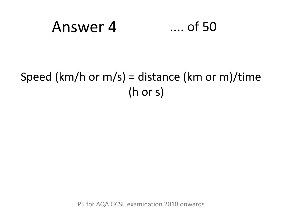## Answer 4 .... of 50

#### Speed (km/h or m/s) = distance (km or m)/time (h or s)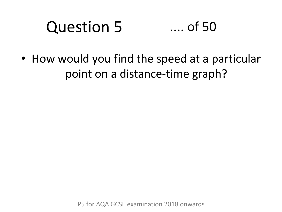#### Question 5 .... of 50

• How would you find the speed at a particular point on a distance-time graph?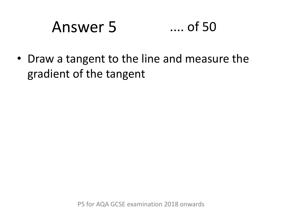# Answer 5 .... of 50

• Draw a tangent to the line and measure the gradient of the tangent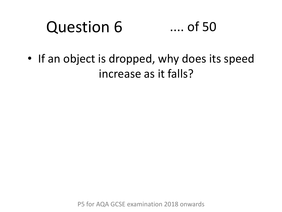#### Question 6 .... of 50

• If an object is dropped, why does its speed increase as it falls?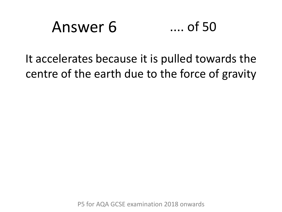# Answer 6 .... of 50

It accelerates because it is pulled towards the centre of the earth due to the force of gravity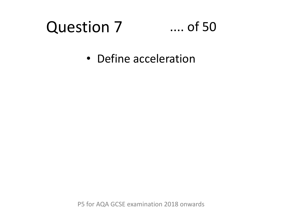# Question 7

#### .... of 50

• Define acceleration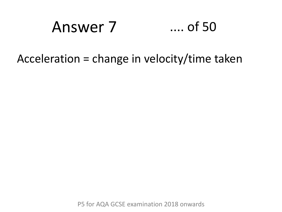## Answer 7 .... of 50

Acceleration = change in velocity/time taken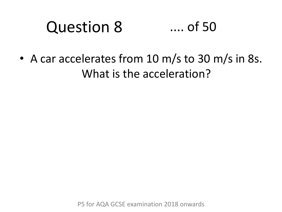#### Question 8 .... of 50

• A car accelerates from 10 m/s to 30 m/s in 8s. What is the acceleration?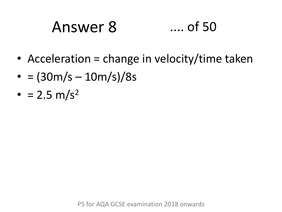# Answer 8 .... of 50

- Acceleration = change in velocity/time taken
- $= (30m/s 10m/s)/8s$
- $= 2.5 \text{ m/s}^2$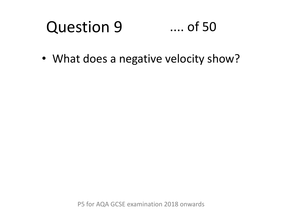#### Question 9 .... of 50

• What does a negative velocity show?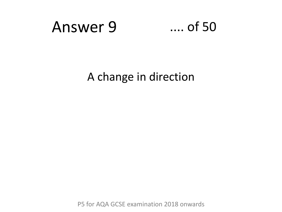

A change in direction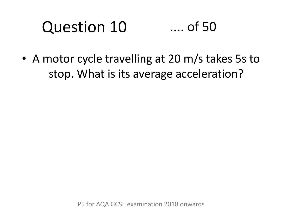#### Question 10 .... of 50

• A motor cycle travelling at 20 m/s takes 5s to stop. What is its average acceleration?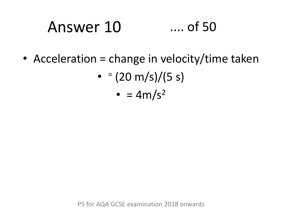# Answer 10 .... of 50

• Acceleration = change in velocity/time taken

• 
$$
=(20 \text{ m/s})/(5 \text{ s})
$$

$$
\bullet = 4m/s^2
$$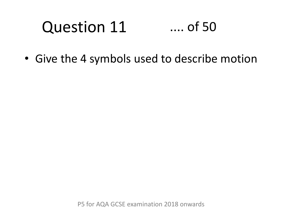#### Question 11 .... of 50

• Give the 4 symbols used to describe motion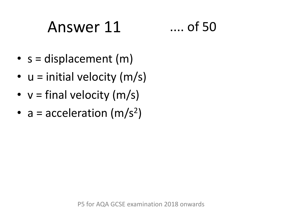# Answer 11 .... of 50

- $s =$  displacement  $(m)$
- $u =$  initial velocity (m/s)
- $v = final velocity (m/s)$
- $a = acceleration (m/s<sup>2</sup>)$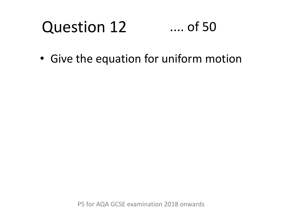#### Question 12 .... of 50

• Give the equation for uniform motion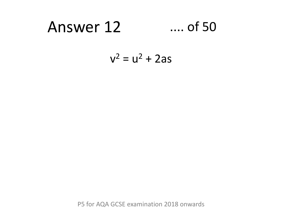## Answer 12 .... of 50

$$
v^2 = u^2 + 2as
$$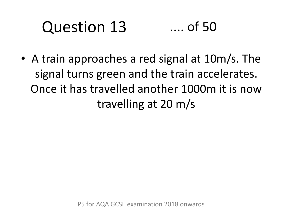#### Question 13 .... of 50

• A train approaches a red signal at 10m/s. The signal turns green and the train accelerates. Once it has travelled another 1000m it is now travelling at 20 m/s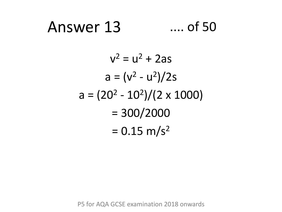## Answer 13 .... of 50

$$
v2 = u2 + 2as
$$
  
\n
$$
a = (v2 - u2)/2s
$$
  
\n
$$
a = (202 - 102)/(2 \times 1000)
$$
  
\n
$$
= 300/2000
$$
  
\n
$$
= 0.15 \text{ m/s}^2
$$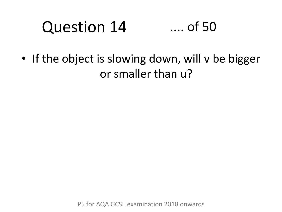#### Question 14 .... of 50

• If the object is slowing down, will v be bigger or smaller than u?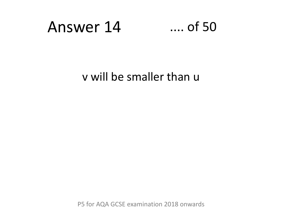## Answer 14 .... of 50

v will be smaller than u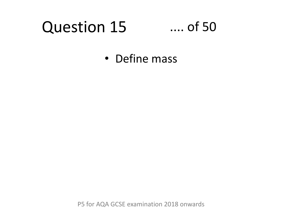## Question 15

#### .... of 50

• Define mass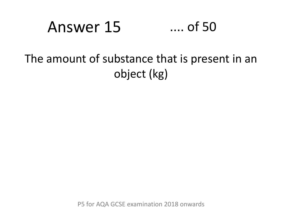## Answer 15 .... of 50

### The amount of substance that is present in an object (kg)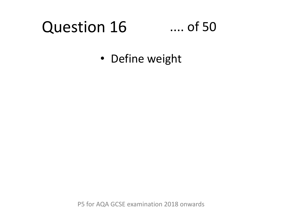# Question 16

#### .... of 50

• Define weight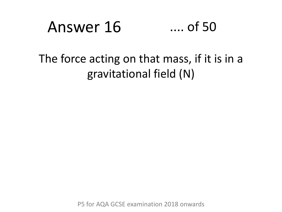# Answer 16 .... of 50

#### The force acting on that mass, if it is in a gravitational field (N)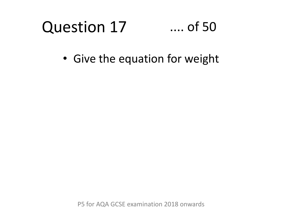# Question 17

#### .... of 50

• Give the equation for weight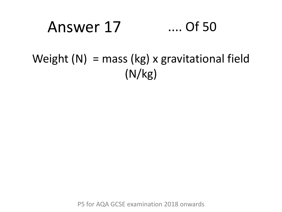## Answer 17 .... Of 50

### Weight  $(N)$  = mass (kg) x gravitational field (N/kg)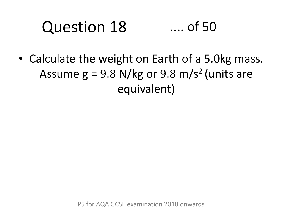#### Question 18 .... of 50

• Calculate the weight on Earth of a 5.0kg mass. Assume  $g = 9.8$  N/kg or 9.8 m/s<sup>2</sup> (units are equivalent)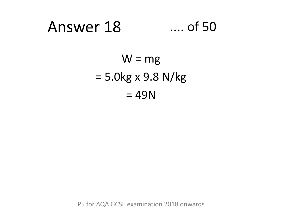### Answer 18 .... of 50

 $W = mg$  $= 5.0$ kg x 9.8 N/kg  $= 49N$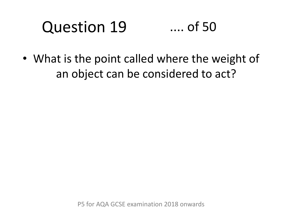#### Question 19 .... of 50

• What is the point called where the weight of an object can be considered to act?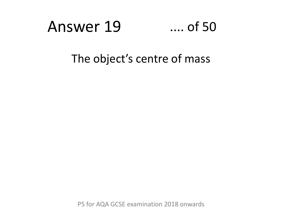### Answer 19 .... of 50

#### The object's centre of mass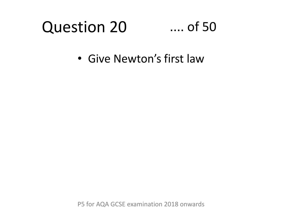### Question 20

### .... of 50

• Give Newton's first law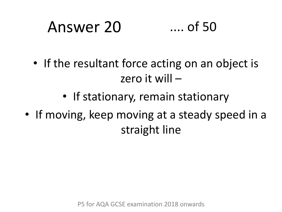# Answer 20 .... of 50

- If the resultant force acting on an object is zero it will –
	- If stationary, remain stationary
- If moving, keep moving at a steady speed in a straight line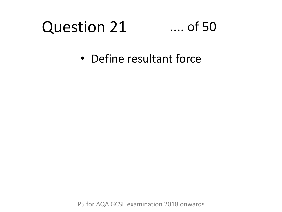### Question 21

### .... of 50

• Define resultant force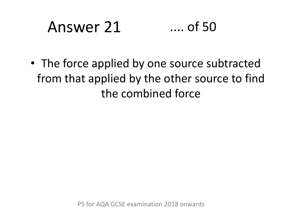# Answer 21 .... of 50

• The force applied by one source subtracted from that applied by the other source to find the combined force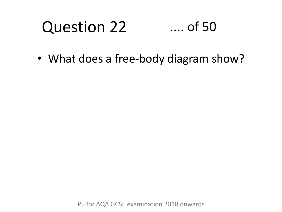#### Question 22 .... of 50

• What does a free-body diagram show?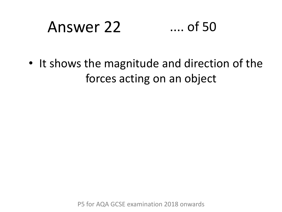# Answer 22 .... of 50

• It shows the magnitude and direction of the forces acting on an object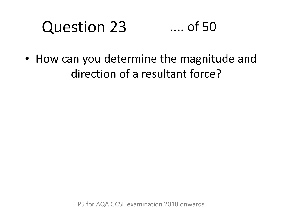#### Question 23 .... of 50

• How can you determine the magnitude and direction of a resultant force?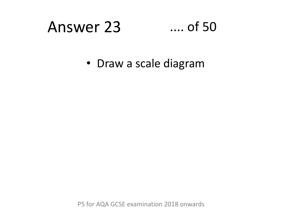## Answer 23 .... of 50

• Draw a scale diagram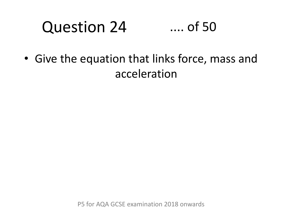#### Question 24 .... of 50

• Give the equation that links force, mass and acceleration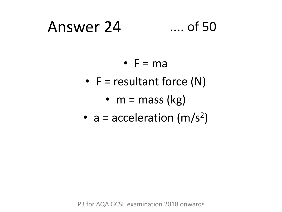### Answer 24 .... of 50

- $\bullet$  F = ma
- $F =$  resultant force  $(N)$ 
	- $m = mass (kg)$
- $a = acceleration (m/s<sup>2</sup>)$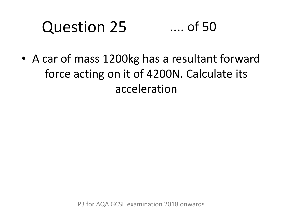#### Question 25 .... of 50

• A car of mass 1200kg has a resultant forward force acting on it of 4200N. Calculate its acceleration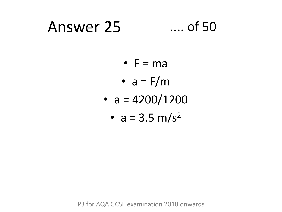### Answer 25 .... of 50

- $\bullet$  F = ma
- $a = F/m$
- $a = 4200/1200$ 
	- $a = 3.5 \text{ m/s}^2$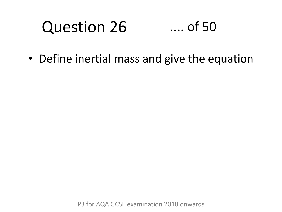#### Question 26 .... of 50

• Define inertial mass and give the equation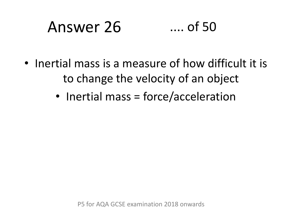# Answer 26 .... of 50

- Inertial mass is a measure of how difficult it is to change the velocity of an object
	- Inertial mass = force/acceleration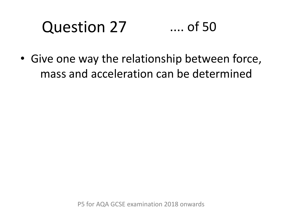#### Question 27 .... of 50

• Give one way the relationship between force, mass and acceleration can be determined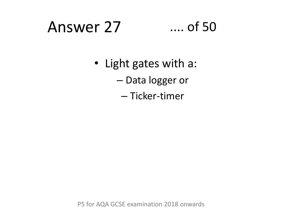### Answer 27 .... of 50

- Light gates with a:
	- Data logger or
		- Ticker-timer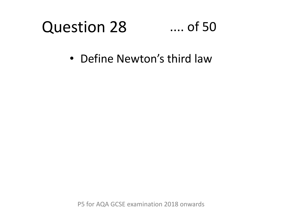### Question 28

### .... of 50

• Define Newton's third law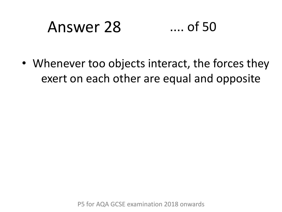# Answer 28 .... of 50

• Whenever too objects interact, the forces they exert on each other are equal and opposite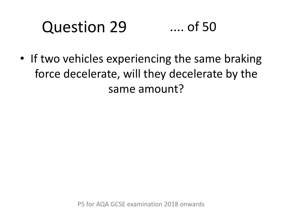#### Question 29 .... of 50

• If two vehicles experiencing the same braking force decelerate, will they decelerate by the same amount?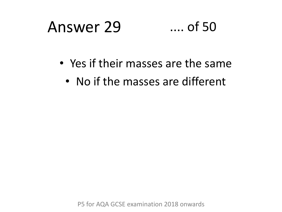## Answer 29 .... of 50

- Yes if their masses are the same
	- No if the masses are different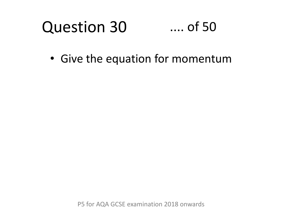#### Question 30 .... of 50

• Give the equation for momentum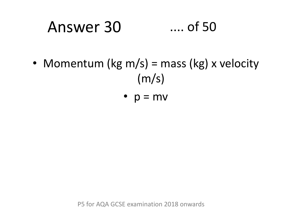# Answer 30 .... of 50

- Momentum (kg m/s) = mass (kg) x velocity  $(m/s)$ 
	- $p = mv$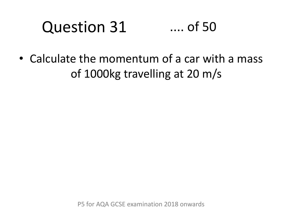#### Question 31 .... of 50

• Calculate the momentum of a car with a mass of 1000kg travelling at 20 m/s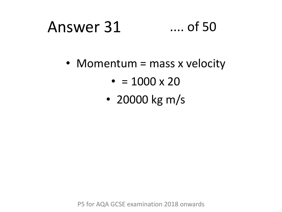# Answer 31 .... of 50

• Momentum = mass x velocity

- $\cdot$  = 1000 x 20
- 20000 kg m/s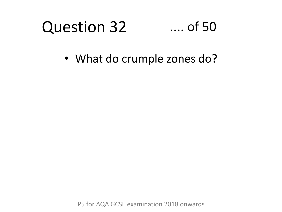#### Question 32 .... of 50

• What do crumple zones do?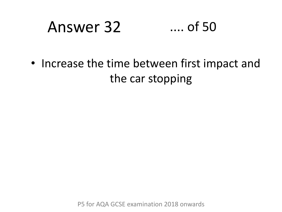# Answer 32 .... of 50

• Increase the time between first impact and the car stopping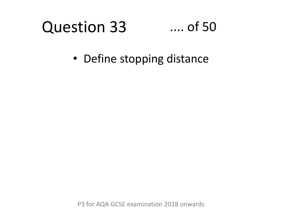#### Question 33 .... of 50

• Define stopping distance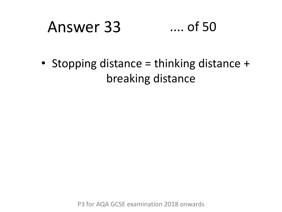## Answer 33 .... of 50

• Stopping distance = thinking distance + breaking distance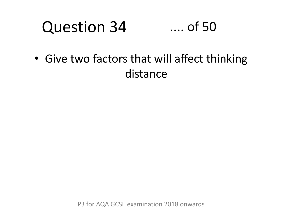#### Question 34 .... of 50

• Give two factors that will affect thinking distance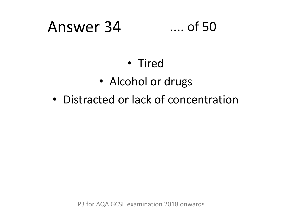### Answer 34 .... of 50

### • Tired

- Alcohol or drugs
- Distracted or lack of concentration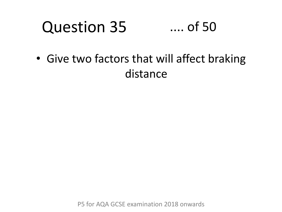#### Question 35 .... of 50

• Give two factors that will affect braking distance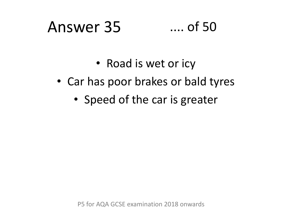### Answer 35 .... of 50

- Road is wet or icy
- Car has poor brakes or bald tyres
	- Speed of the car is greater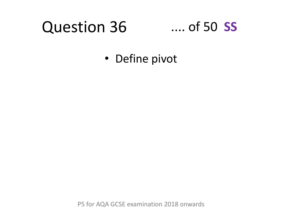#### Question 36 .... of 50 **SS**

• Define pivot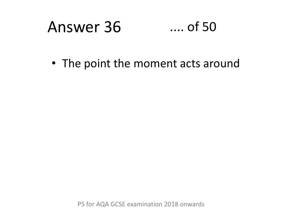#### Answer 36  $\dots$  of 50

• The point the moment acts around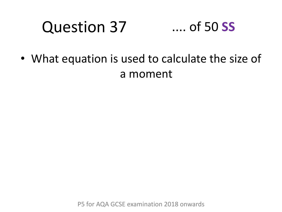### Question 37

### .... of 50 **SS**

• What equation is used to calculate the size of a moment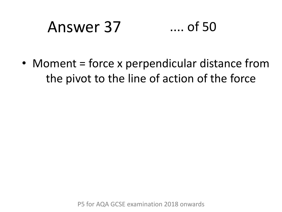# Answer 37 .... of 50

• Moment = force x perpendicular distance from the pivot to the line of action of the force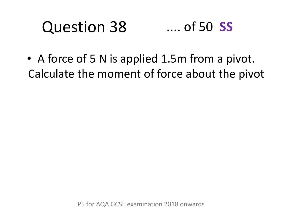### Question 38 .... of 50 **SS**

• A force of 5 N is applied 1.5m from a pivot. Calculate the moment of force about the pivot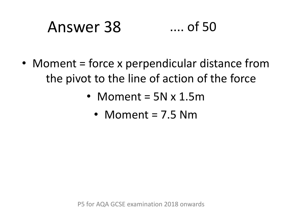# Answer 38 .... of 50

- Moment = force x perpendicular distance from the pivot to the line of action of the force
	- Moment = 5N x 1.5m
		- Moment = 7.5 Nm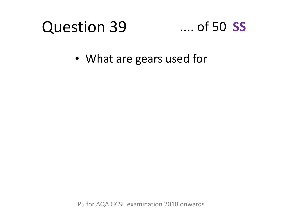### Question 39

### .... of 50 **SS**

• What are gears used for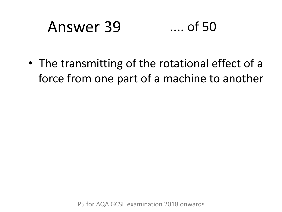# Answer 39 .... of 50

• The transmitting of the rotational effect of a force from one part of a machine to another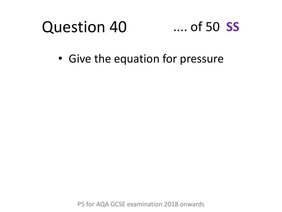### Question 40 .... of 50 **SS**

• Give the equation for pressure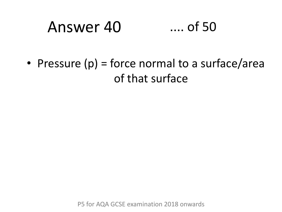# Answer 40 .... of 50

• Pressure  $(p)$  = force normal to a surface/area of that surface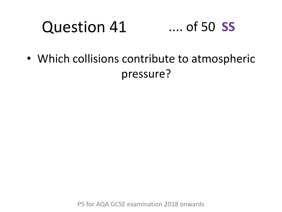#### Question 41 .... of 50 **SS**

• Which collisions contribute to atmospheric pressure?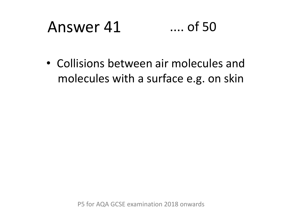# Answer 41 .... of 50

• Collisions between air molecules and molecules with a surface e.g. on skin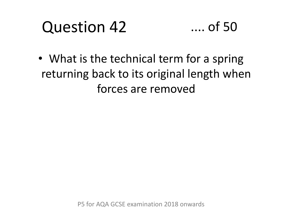### Question 42



• What is the technical term for a spring returning back to its original length when forces are removed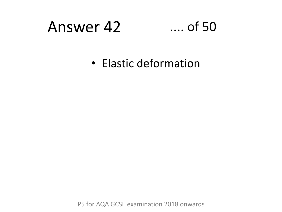### Answer 42 .... of 50

• Elastic deformation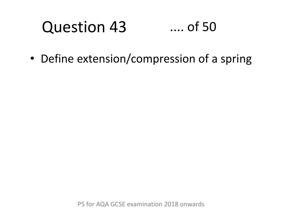#### Question 43 .... of 50

• Define extension/compression of a spring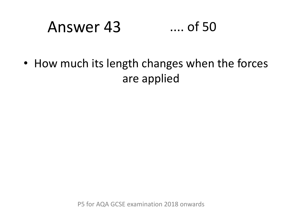# Answer 43 .... of 50

• How much its length changes when the forces are applied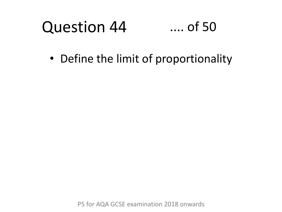#### Question 44 .... of 50

• Define the limit of proportionality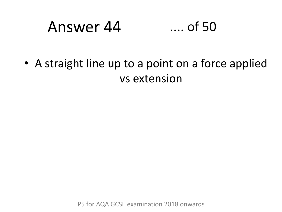### Answer 44 .... of 50

• A straight line up to a point on a force applied vs extension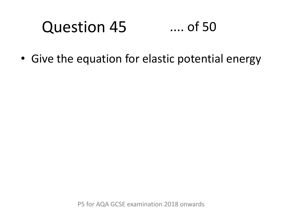#### Question 45 .... of 50

• Give the equation for elastic potential energy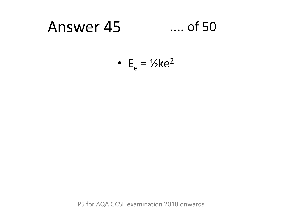#### Answer 45  $...$  of 50

• 
$$
E_e = \frac{1}{2}ke^2
$$

P5 for AQA GCSE examination 2018 onwards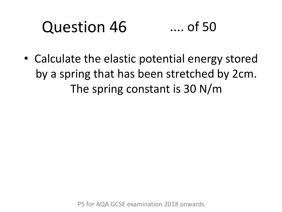### Question 46 .... of 50

• Calculate the elastic potential energy stored by a spring that has been stretched by 2cm. The spring constant is 30 N/m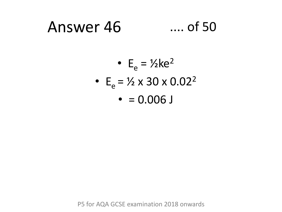#### $\dots$  of 50 Answer 46

$$
\bullet \ \mathsf{E}_e = \frac{1}{2} \text{ke}^2
$$

- $E_e = \frac{1}{2} \times 30 \times 0.02^2$ 
	- $\bullet$  = 0.006 J

P5 for AQA GCSE examination 2018 onwards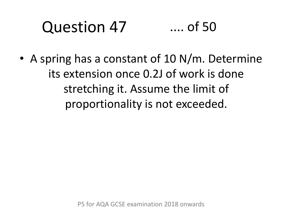#### Question 47 .... of 50

• A spring has a constant of 10 N/m. Determine its extension once 0.2J of work is done stretching it. Assume the limit of proportionality is not exceeded.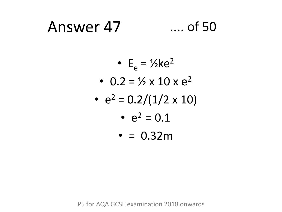### Answer 47

### $\dots$  of 50

- $E_e = \frac{1}{2}ke^2$
- 0.2 =  $\frac{1}{2} \times 10 \times e^2$
- $e^2 = 0.2/(1/2 \times 10)$ 
	- $e^2 = 0.1$
	- $\cdot$  = 0.32m

P5 for AQA GCSE examination 2018 onwards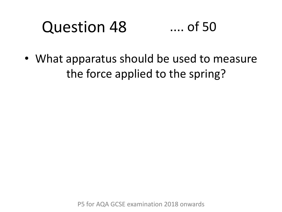#### Question 48 .... of 50

• What apparatus should be used to measure the force applied to the spring?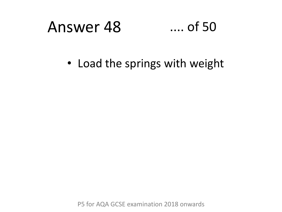#### Answer 48  $\dots$  of 50

• Load the springs with weight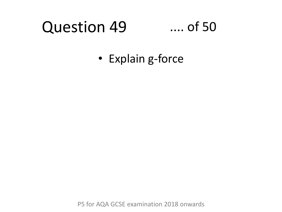#### Question 49 .... of 50

• Explain g-force

P5 for AQA GCSE examination 2018 onwards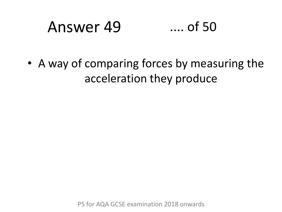### Answer 49 .... of 50

• A way of comparing forces by measuring the acceleration they produce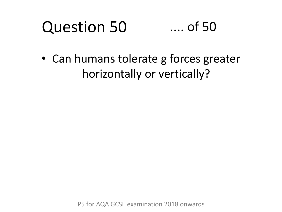### Question 50 .... of 50

• Can humans tolerate g forces greater horizontally or vertically?